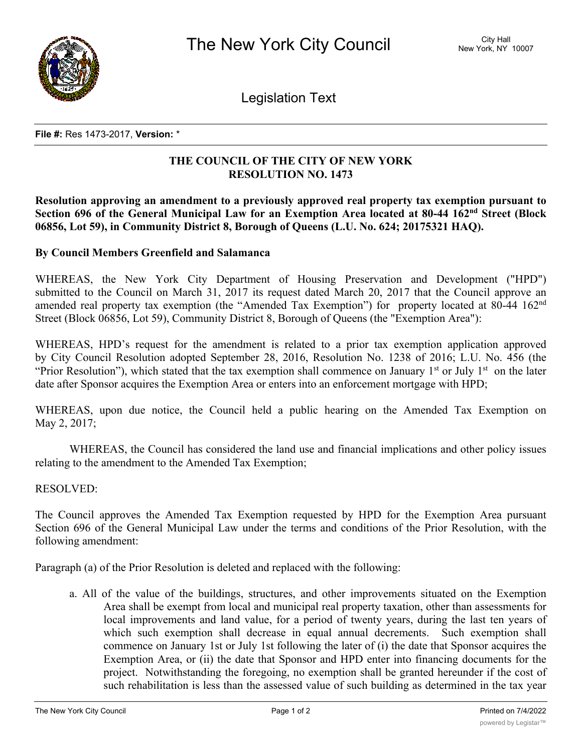

Legislation Text

## **File #:** Res 1473-2017, **Version:** \*

## **THE COUNCIL OF THE CITY OF NEW YORK RESOLUTION NO. 1473**

**Resolution approving an amendment to a previously approved real property tax exemption pursuant to Section 696 of the General Municipal Law for an Exemption Area located at 80-44 162nd Street (Block 06856, Lot 59), in Community District 8, Borough of Queens (L.U. No. 624; 20175321 HAQ).**

## **By Council Members Greenfield and Salamanca**

WHEREAS, the New York City Department of Housing Preservation and Development ("HPD") submitted to the Council on March 31, 2017 its request dated March 20, 2017 that the Council approve an amended real property tax exemption (the "Amended Tax Exemption") for property located at 80-44 162<sup>nd</sup> Street (Block 06856, Lot 59), Community District 8, Borough of Queens (the "Exemption Area"):

WHEREAS, HPD's request for the amendment is related to a prior tax exemption application approved by City Council Resolution adopted September 28, 2016, Resolution No. 1238 of 2016; L.U. No. 456 (the "Prior Resolution"), which stated that the tax exemption shall commence on January  $1<sup>st</sup>$  or July  $1<sup>st</sup>$  on the later date after Sponsor acquires the Exemption Area or enters into an enforcement mortgage with HPD;

WHEREAS, upon due notice, the Council held a public hearing on the Amended Tax Exemption on May 2, 2017;

WHEREAS, the Council has considered the land use and financial implications and other policy issues relating to the amendment to the Amended Tax Exemption;

## RESOLVED:

The Council approves the Amended Tax Exemption requested by HPD for the Exemption Area pursuant Section 696 of the General Municipal Law under the terms and conditions of the Prior Resolution, with the following amendment:

Paragraph (a) of the Prior Resolution is deleted and replaced with the following:

a. All of the value of the buildings, structures, and other improvements situated on the Exemption Area shall be exempt from local and municipal real property taxation, other than assessments for local improvements and land value, for a period of twenty years, during the last ten years of which such exemption shall decrease in equal annual decrements. Such exemption shall commence on January 1st or July 1st following the later of (i) the date that Sponsor acquires the Exemption Area, or (ii) the date that Sponsor and HPD enter into financing documents for the project. Notwithstanding the foregoing, no exemption shall be granted hereunder if the cost of such rehabilitation is less than the assessed value of such building as determined in the tax year